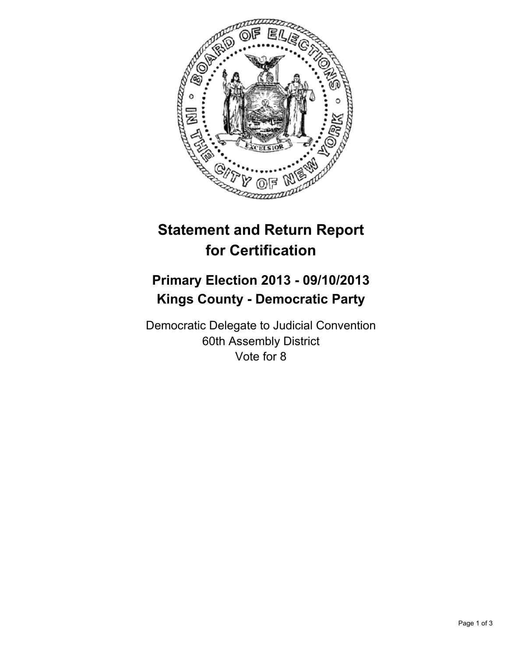

## **Statement and Return Report for Certification**

## **Primary Election 2013 - 09/10/2013 Kings County - Democratic Party**

Democratic Delegate to Judicial Convention 60th Assembly District Vote for 8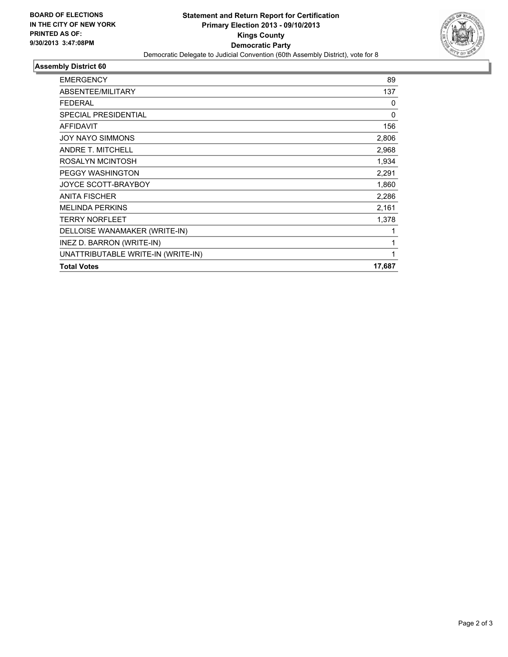

## **Assembly District 60**

| <b>EMERGENCY</b>                   | 89     |
|------------------------------------|--------|
| ABSENTEE/MILITARY                  | 137    |
| <b>FEDERAL</b>                     | 0      |
| <b>SPECIAL PRESIDENTIAL</b>        | 0      |
| <b>AFFIDAVIT</b>                   | 156    |
| <b>JOY NAYO SIMMONS</b>            | 2,806  |
| <b>ANDRE T. MITCHELL</b>           | 2,968  |
| ROSALYN MCINTOSH                   | 1,934  |
| <b>PEGGY WASHINGTON</b>            | 2,291  |
| <b>JOYCE SCOTT-BRAYBOY</b>         | 1,860  |
| <b>ANITA FISCHER</b>               | 2,286  |
| <b>MELINDA PERKINS</b>             | 2,161  |
| <b>TERRY NORFLEET</b>              | 1,378  |
| DELLOISE WANAMAKER (WRITE-IN)      | 1      |
| INEZ D. BARRON (WRITE-IN)          | 1      |
| UNATTRIBUTABLE WRITE-IN (WRITE-IN) | 1      |
| <b>Total Votes</b>                 | 17,687 |